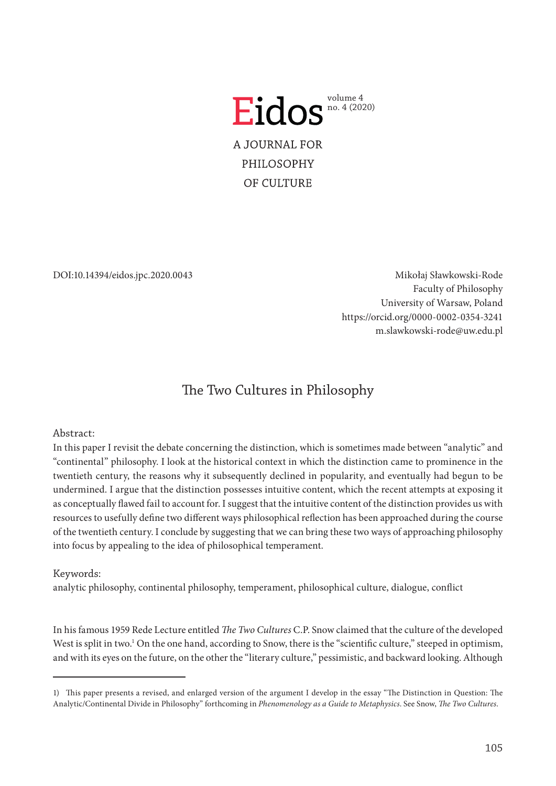

DOI:10.14394/eidos.jpc.2020.0043

Mikołaj Sławkowski-Rode Faculty of Philosophy University of Warsaw, Poland <https://orcid.org/0000-0002-0354-3241> m.slawkowski-rode@uw.edu.pl

# The Two Cultures in Philosophy

# Abstract:

In this paper I revisit the debate concerning the distinction, which is sometimes made between "analytic" and "continental" philosophy. I look at the historical context in which the distinction came to prominence in the twentieth century, the reasons why it subsequently declined in popularity, and eventually had begun to be undermined. I argue that the distinction possesses intuitive content, which the recent attempts at exposing it as conceptually flawed fail to account for. I suggest that the intuitive content of the distinction provides us with resources to usefully define two different ways philosophical reflection has been approached during the course of the twentieth century. I conclude by suggesting that we can bring these two ways of approaching philosophy into focus by appealing to the idea of philosophical temperament.

# Keywords:

analytic philosophy, continental philosophy, temperament, philosophical culture, dialogue, conflict

In his famous 1959 Rede Lecture entitled *The Two Cultures* C.P. Snow claimed that the culture of the developed West is split in two.<sup>1</sup> On the one hand, according to Snow, there is the "scientific culture," steeped in optimism, and with its eyes on the future, on the other the "literary culture," pessimistic, and backward looking. Although

<sup>1)</sup> This paper presents a revised, and enlarged version of the argument I develop in the essay "The Distinction in Question: The Analytic/Continental Divide in Philosophy" forthcoming in *Phenomenology as a Guide to Metaphysics*. See Snow, *The Two Cultures*.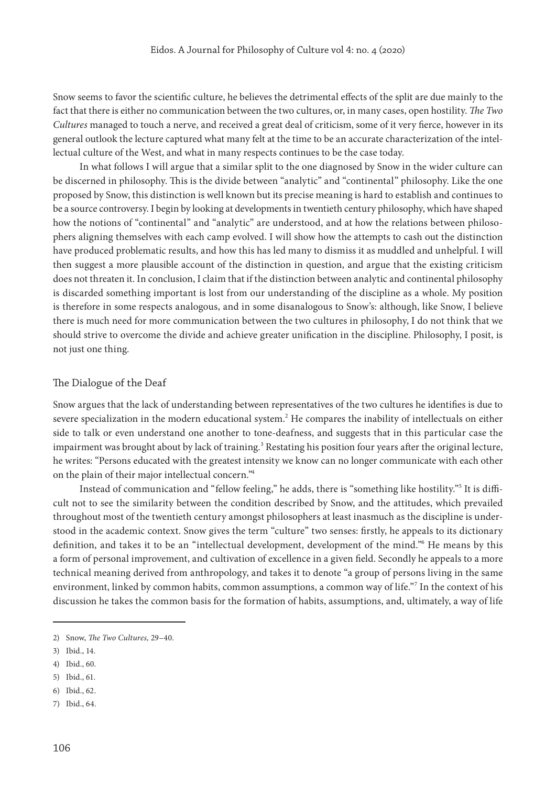Snow seems to favor the scientific culture, he believes the detrimental effects of the split are due mainly to the fact that there is either no communication between the two cultures, or, in many cases, open hostility. *The Two Cultures* managed to touch a nerve, and received a great deal of criticism, some of it very fierce, however in its general outlook the lecture captured what many felt at the time to be an accurate characterization of the intellectual culture of the West, and what in many respects continues to be the case today.

In what follows I will argue that a similar split to the one diagnosed by Snow in the wider culture can be discerned in philosophy. This is the divide between "analytic" and "continental" philosophy. Like the one proposed by Snow, this distinction is well known but its precise meaning is hard to establish and continues to be a source controversy. I begin by looking at developments in twentieth century philosophy, which have shaped how the notions of "continental" and "analytic" are understood, and at how the relations between philosophers aligning themselves with each camp evolved. I will show how the attempts to cash out the distinction have produced problematic results, and how this has led many to dismiss it as muddled and unhelpful. I will then suggest a more plausible account of the distinction in question, and argue that the existing criticism does not threaten it. In conclusion, I claim that if the distinction between analytic and continental philosophy is discarded something important is lost from our understanding of the discipline as a whole. My position is therefore in some respects analogous, and in some disanalogous to Snow's: although, like Snow, I believe there is much need for more communication between the two cultures in philosophy, I do not think that we should strive to overcome the divide and achieve greater unification in the discipline. Philosophy, I posit, is not just one thing.

#### The Dialogue of the Deaf

Snow argues that the lack of understanding between representatives of the two cultures he identifies is due to severe specialization in the modern educational system.<sup>2</sup> He compares the inability of intellectuals on either side to talk or even understand one another to tone-deafness, and suggests that in this particular case the impairment was brought about by lack of training.<sup>3</sup> Restating his position four years after the original lecture, he writes: "Persons educated with the greatest intensity we know can no longer communicate with each other on the plain of their major intellectual concern."

Instead of communication and "fellow feeling," he adds, there is "something like hostility."<sup>5</sup> It is difficult not to see the similarity between the condition described by Snow, and the attitudes, which prevailed throughout most of the twentieth century amongst philosophers at least inasmuch as the discipline is understood in the academic context. Snow gives the term "culture" two senses: firstly, he appeals to its dictionary definition, and takes it to be an "intellectual development, development of the mind."<sup>6</sup> He means by this a form of personal improvement, and cultivation of excellence in a given field. Secondly he appeals to a more technical meaning derived from anthropology, and takes it to denote "a group of persons living in the same environment, linked by common habits, common assumptions, a common way of life."<sup>7</sup> In the context of his discussion he takes the common basis for the formation of habits, assumptions, and, ultimately, a way of life

<sup>2)</sup> Snow, *The Two Cultures,* 29–40.

<sup>3)</sup> Ibid., 14.

<sup>4)</sup> Ibid., 60.

<sup>5)</sup> Ibid., 61.

<sup>6)</sup> Ibid., 62.

<sup>7)</sup> Ibid., 64.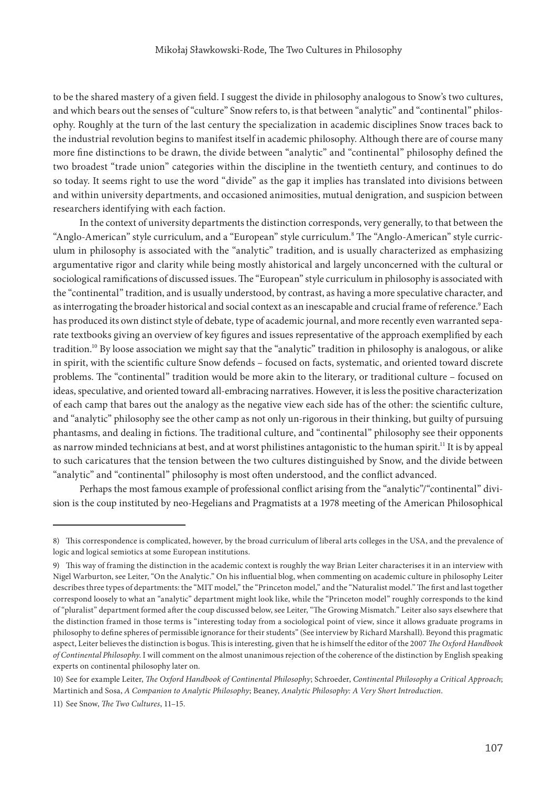to be the shared mastery of a given field. I suggest the divide in philosophy analogous to Snow's two cultures, and which bears out the senses of "culture" Snow refers to, is that between "analytic" and "continental" philosophy. Roughly at the turn of the last century the specialization in academic disciplines Snow traces back to the industrial revolution begins to manifest itself in academic philosophy. Although there are of course many more fine distinctions to be drawn, the divide between "analytic" and "continental" philosophy defined the two broadest "trade union" categories within the discipline in the twentieth century, and continues to do so today. It seems right to use the word "divide" as the gap it implies has translated into divisions between and within university departments, and occasioned animosities, mutual denigration, and suspicion between researchers identifying with each faction.

In the context of university departments the distinction corresponds, very generally, to that between the "Anglo-American" style curriculum, and a "European" style curriculum. The "Anglo-American" style curriculum in philosophy is associated with the "analytic" tradition, and is usually characterized as emphasizing argumentative rigor and clarity while being mostly ahistorical and largely unconcerned with the cultural or sociological ramifications of discussed issues. The "European" style curriculum in philosophy is associated with the "continental" tradition, and is usually understood, by contrast, as having a more speculative character, and as interrogating the broader historical and social context as an inescapable and crucial frame of reference.<sup>9</sup> Each has produced its own distinct style of debate, type of academic journal, and more recently even warranted separate textbooks giving an overview of key figures and issues representative of the approach exemplified by each tradition.10 By loose association we might say that the "analytic" tradition in philosophy is analogous, or alike in spirit, with the scientific culture Snow defends – focused on facts, systematic, and oriented toward discrete problems. The "continental" tradition would be more akin to the literary, or traditional culture – focused on ideas, speculative, and oriented toward all-embracing narratives. However, it is less the positive characterization of each camp that bares out the analogy as the negative view each side has of the other: the scientific culture, and "analytic" philosophy see the other camp as not only un-rigorous in their thinking, but guilty of pursuing phantasms, and dealing in fictions. The traditional culture, and "continental" philosophy see their opponents as narrow minded technicians at best, and at worst philistines antagonistic to the human spirit.<sup>11</sup> It is by appeal to such caricatures that the tension between the two cultures distinguished by Snow, and the divide between "analytic" and "continental" philosophy is most often understood, and the conflict advanced.

Perhaps the most famous example of professional conflict arising from the "analytic"/"continental" division is the coup instituted by neo-Hegelians and Pragmatists at a 1978 meeting of the American Philosophical

<sup>8)</sup> This correspondence is complicated, however, by the broad curriculum of liberal arts colleges in the USA, and the prevalence of logic and logical semiotics at some European institutions.

<sup>9)</sup> This way of framing the distinction in the academic context is roughly the way Brian Leiter characterises it in an interview with Nigel Warburton, see Leiter, "On the Analytic." On his influential blog, when commenting on academic culture in philosophy Leiter describes three types of departments: the "MIT model," the "Princeton model," and the "Naturalist model." The first and last together correspond loosely to what an "analytic" department might look like, while the "Princeton model" roughly corresponds to the kind of "pluralist" department formed after the coup discussed below, see Leiter, "The Growing Mismatch." Leiter also says elsewhere that the distinction framed in those terms is "interesting today from a sociological point of view, since it allows graduate programs in philosophy to define spheres of permissible ignorance for their students" (See interview by Richard Marshall). Beyond this pragmatic aspect, Leiter believes the distinction is bogus. This is interesting, given that he is himself the editor of the 2007 *The Oxford Handbook of Continental Philosophy*. I will comment on the almost unanimous rejection of the coherence of the distinction by English speaking experts on continental philosophy later on.

<sup>10)</sup> See for example Leiter, *The Oxford Handbook of Continental Philosophy*; Schroeder, *Continental Philosophy a Critical Approach*; Martinich and Sosa, *A Companion to Analytic Philosophy*; Beaney, *Analytic Philosophy: A Very Short Introduction*.

<sup>11)</sup> See Snow, *The Two Cultures*, 11–15.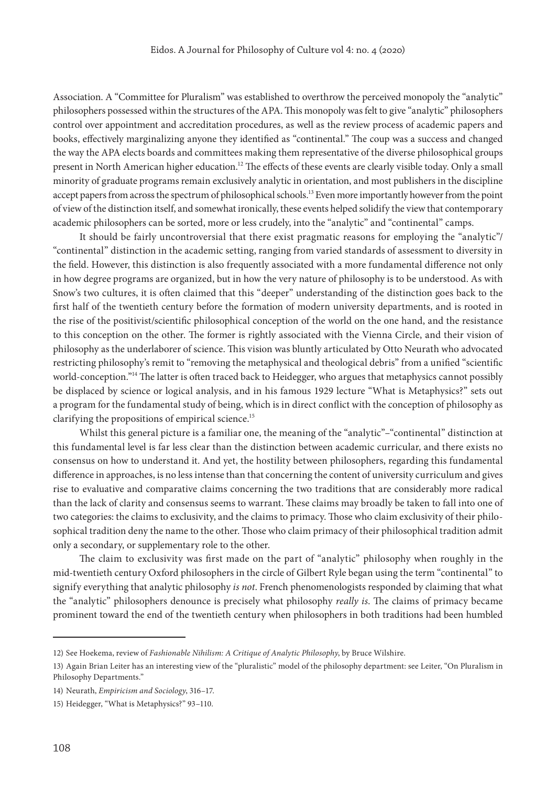Association. A "Committee for Pluralism" was established to overthrow the perceived monopoly the "analytic" philosophers possessed within the structures of the APA. This monopoly was felt to give "analytic" philosophers control over appointment and accreditation procedures, as well as the review process of academic papers and books, effectively marginalizing anyone they identified as "continental." The coup was a success and changed the way the APA elects boards and committees making them representative of the diverse philosophical groups present in North American higher education.<sup>12</sup> The effects of these events are clearly visible today. Only a small minority of graduate programs remain exclusively analytic in orientation, and most publishers in the discipline accept papers from across the spectrum of philosophical schools.<sup>13</sup> Even more importantly however from the point of view of the distinction itself, and somewhat ironically, these events helped solidify the view that contemporary academic philosophers can be sorted, more or less crudely, into the "analytic" and "continental" camps.

It should be fairly uncontroversial that there exist pragmatic reasons for employing the "analytic"/ "continental" distinction in the academic setting, ranging from varied standards of assessment to diversity in the field. However, this distinction is also frequently associated with a more fundamental difference not only in how degree programs are organized, but in how the very nature of philosophy is to be understood. As with Snow's two cultures, it is often claimed that this "deeper" understanding of the distinction goes back to the first half of the twentieth century before the formation of modern university departments, and is rooted in the rise of the positivist/scientific philosophical conception of the world on the one hand, and the resistance to this conception on the other. The former is rightly associated with the Vienna Circle, and their vision of philosophy as the underlaborer of science. This vision was bluntly articulated by Otto Neurath who advocated restricting philosophy's remit to "removing the metaphysical and theological debris" from a unified "scientific world-conception."14 The latter is often traced back to Heidegger, who argues that metaphysics cannot possibly be displaced by science or logical analysis, and in his famous 1929 lecture "What is Metaphysics?" sets out a program for the fundamental study of being, which is in direct conflict with the conception of philosophy as clarifying the propositions of empirical science.<sup>15</sup>

Whilst this general picture is a familiar one, the meaning of the "analytic"–"continental" distinction at this fundamental level is far less clear than the distinction between academic curricular, and there exists no consensus on how to understand it. And yet, the hostility between philosophers, regarding this fundamental difference in approaches, is no less intense than that concerning the content of university curriculum and gives rise to evaluative and comparative claims concerning the two traditions that are considerably more radical than the lack of clarity and consensus seems to warrant. These claims may broadly be taken to fall into one of two categories: the claims to exclusivity, and the claims to primacy. Those who claim exclusivity of their philosophical tradition deny the name to the other. Those who claim primacy of their philosophical tradition admit only a secondary, or supplementary role to the other.

The claim to exclusivity was first made on the part of "analytic" philosophy when roughly in the mid-twentieth century Oxford philosophers in the circle of Gilbert Ryle began using the term "continental" to signify everything that analytic philosophy *is not*. French phenomenologists responded by claiming that what the "analytic" philosophers denounce is precisely what philosophy *really is*. The claims of primacy became prominent toward the end of the twentieth century when philosophers in both traditions had been humbled

<sup>12)</sup> See Hoekema, review of *Fashionable Nihilism: A Critique of Analytic Philosophy*, by Bruce Wilshire.

<sup>13)</sup> Again Brian Leiter has an interesting view of the "pluralistic" model of the philosophy department: see Leiter, "On Pluralism in Philosophy Departments."

<sup>14)</sup> Neurath, *Empiricism and Sociology*, 316–17.

<sup>15)</sup> Heidegger, "What is Metaphysics?" 93–110.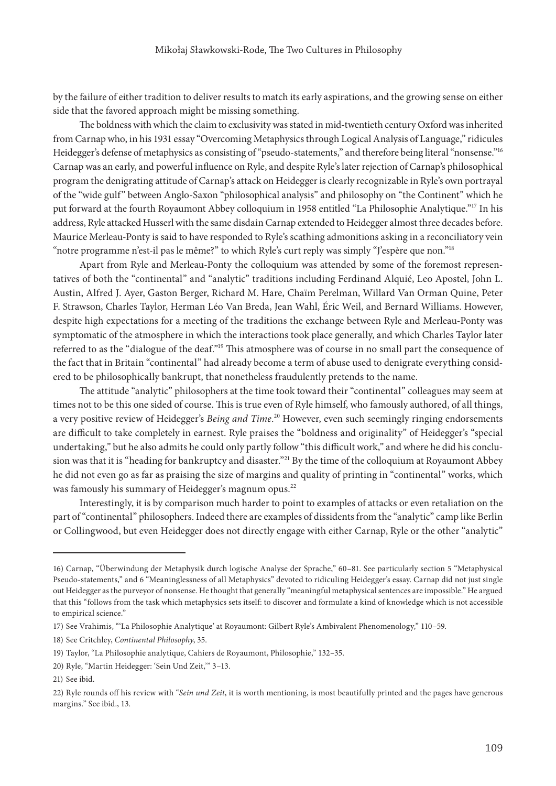by the failure of either tradition to deliver results to match its early aspirations, and the growing sense on either side that the favored approach might be missing something.

The boldness with which the claim to exclusivity was stated in mid-twentieth century Oxford was inherited from Carnap who, in his 1931 essay "Overcoming Metaphysics through Logical Analysis of Language," ridicules Heidegger's defense of metaphysics as consisting of "pseudo-statements," and therefore being literal "nonsense."<sup>16</sup> Carnap was an early, and powerful influence on Ryle, and despite Ryle's later rejection of Carnap's philosophical program the denigrating attitude of Carnap's attack on Heidegger is clearly recognizable in Ryle's own portrayal of the "wide gulf" between Anglo-Saxon "philosophical analysis" and philosophy on "the Continent" which he put forward at the fourth Royaumont Abbey colloquium in 1958 entitled "La Philosophie Analytique."17 In his address, Ryle attacked Husserl with the same disdain Carnap extended to Heidegger almost three decades before. Maurice Merleau-Ponty is said to have responded to Ryle's scathing admonitions asking in a reconciliatory vein "notre programme n'est-il pas le même?" to which Ryle's curt reply was simply "J'espère que non."18

Apart from Ryle and Merleau-Ponty the colloquium was attended by some of the foremost representatives of both the "continental" and "analytic" traditions including Ferdinand Alquié, Leo Apostel, John L. Austin, Alfred J. Ayer, Gaston Berger, Richard M. Hare, Chaïm Perelman, Willard Van Orman Quine, Peter F. Strawson, Charles Taylor, Herman Léo Van Breda, Jean Wahl, Éric Weil, and Bernard Williams. However, despite high expectations for a meeting of the traditions the exchange between Ryle and Merleau-Ponty was symptomatic of the atmosphere in which the interactions took place generally, and which Charles Taylor later referred to as the "dialogue of the deaf."19 This atmosphere was of course in no small part the consequence of the fact that in Britain "continental" had already become a term of abuse used to denigrate everything considered to be philosophically bankrupt, that nonetheless fraudulently pretends to the name.

The attitude "analytic" philosophers at the time took toward their "continental" colleagues may seem at times not to be this one sided of course. This is true even of Ryle himself, who famously authored, of all things, a very positive review of Heidegger's *Being and Time*. 20 However, even such seemingly ringing endorsements are difficult to take completely in earnest. Ryle praises the "boldness and originality" of Heidegger's "special undertaking," but he also admits he could only partly follow "this difficult work," and where he did his conclusion was that it is "heading for bankruptcy and disaster."<sup>21</sup> By the time of the colloquium at Royaumont Abbey he did not even go as far as praising the size of margins and quality of printing in "continental" works, which was famously his summary of Heidegger's magnum opus.<sup>22</sup>

Interestingly, it is by comparison much harder to point to examples of attacks or even retaliation on the part of "continental" philosophers. Indeed there are examples of dissidents from the "analytic" camp like Berlin or Collingwood, but even Heidegger does not directly engage with either Carnap, Ryle or the other "analytic"

<sup>16)</sup> Carnap, "Überwindung der Metaphysik durch logische Analyse der Sprache," 60–81. See particularly section 5 "Metaphysical Pseudo-statements," and 6 "Meaninglessness of all Metaphysics" devoted to ridiculing Heidegger's essay. Carnap did not just single out Heidegger as the purveyor of nonsense. He thought that generally "meaningful metaphysical sentences are impossible." He argued that this "follows from the task which metaphysics sets itself: to discover and formulate a kind of knowledge which is not accessible to empirical science."

<sup>17)</sup> See Vrahimis, "'La Philosophie Analytique' at Royaumont: Gilbert Ryle's Ambivalent Phenomenology," 110–59.

<sup>18)</sup> See Critchley, *Continental Philosophy*, 35.

<sup>19)</sup> Taylor, "La Philosophie analytique, Cahiers de Royaumont, Philosophie," 132–35.

<sup>20)</sup> Ryle, "Martin Heidegger: 'Sein Und Zeit,'" 3–13.

<sup>21)</sup> See ibid.

<sup>22)</sup> Ryle rounds off his review with "*Sein und Zeit*, it is worth mentioning, is most beautifully printed and the pages have generous margins." See ibid., 13.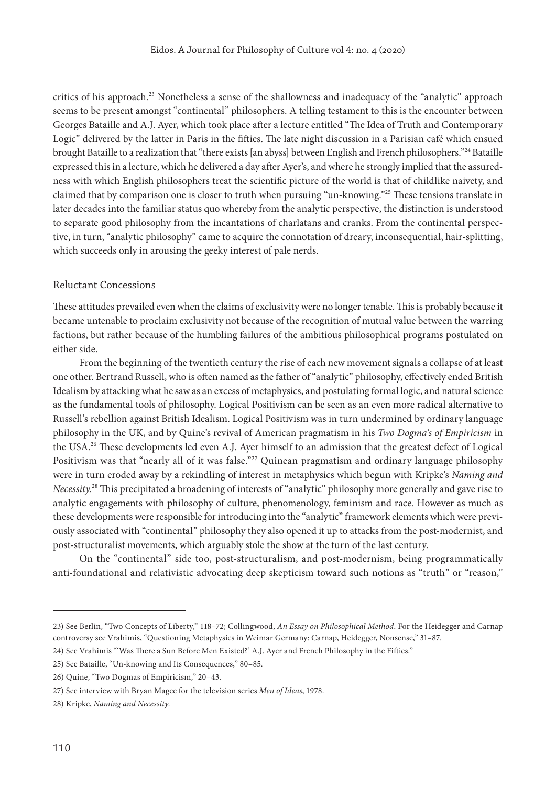critics of his approach.<sup>23</sup> Nonetheless a sense of the shallowness and inadequacy of the "analytic" approach seems to be present amongst "continental" philosophers. A telling testament to this is the encounter between Georges Bataille and A.J. Ayer, which took place after a lecture entitled "The Idea of Truth and Contemporary Logic" delivered by the latter in Paris in the fifties. The late night discussion in a Parisian café which ensued brought Bataille to a realization that "there exists [an abyss] between English and French philosophers."24 Bataille expressed this in a lecture, which he delivered a day after Ayer's, and where he strongly implied that the assuredness with which English philosophers treat the scientific picture of the world is that of childlike naivety, and claimed that by comparison one is closer to truth when pursuing "un-knowing."25 These tensions translate in later decades into the familiar status quo whereby from the analytic perspective, the distinction is understood to separate good philosophy from the incantations of charlatans and cranks. From the continental perspective, in turn, "analytic philosophy" came to acquire the connotation of dreary, inconsequential, hair-splitting, which succeeds only in arousing the geeky interest of pale nerds.

#### Reluctant Concessions

These attitudes prevailed even when the claims of exclusivity were no longer tenable. This is probably because it became untenable to proclaim exclusivity not because of the recognition of mutual value between the warring factions, but rather because of the humbling failures of the ambitious philosophical programs postulated on either side.

From the beginning of the twentieth century the rise of each new movement signals a collapse of at least one other. Bertrand Russell, who is often named as the father of "analytic" philosophy, effectively ended British Idealism by attacking what he saw as an excess of metaphysics, and postulating formal logic, and natural science as the fundamental tools of philosophy. Logical Positivism can be seen as an even more radical alternative to Russell's rebellion against British Idealism. Logical Positivism was in turn undermined by ordinary language philosophy in the UK, and by Quine's revival of American pragmatism in his *Two Dogma's of Empiricism* in the USA.<sup>26</sup> These developments led even A.J. Ayer himself to an admission that the greatest defect of Logical Positivism was that "nearly all of it was false."<sup>27</sup> Quinean pragmatism and ordinary language philosophy were in turn eroded away by a rekindling of interest in metaphysics which begun with Kripke's *Naming and Necessity*. 28 This precipitated a broadening of interests of "analytic" philosophy more generally and gave rise to analytic engagements with philosophy of culture, phenomenology, feminism and race. However as much as these developments were responsible for introducing into the "analytic" framework elements which were previously associated with "continental" philosophy they also opened it up to attacks from the post-modernist, and post-structuralist movements, which arguably stole the show at the turn of the last century.

On the "continental" side too, post-structuralism, and post-modernism, being programmatically anti-foundational and relativistic advocating deep skepticism toward such notions as "truth" or "reason,"

<sup>23)</sup> See Berlin, "Two Concepts of Liberty," 118–72; Collingwood, *An Essay on Philosophical Method*. For the Heidegger and Carnap controversy see Vrahimis, "Questioning Metaphysics in Weimar Germany: Carnap, Heidegger, Nonsense," 31–87.

<sup>24)</sup> See Vrahimis "'Was There a Sun Before Men Existed?' A.J. Ayer and French Philosophy in the Fifties."

<sup>25)</sup> See Bataille, "Un-knowing and Its Consequences," 80–85.

<sup>26)</sup> Quine, "Two Dogmas of Empiricism," 20–43.

<sup>27)</sup> See interview with Bryan Magee for the television series *Men of Ideas*, 1978.

<sup>28)</sup> Kripke, *Naming and Necessity*.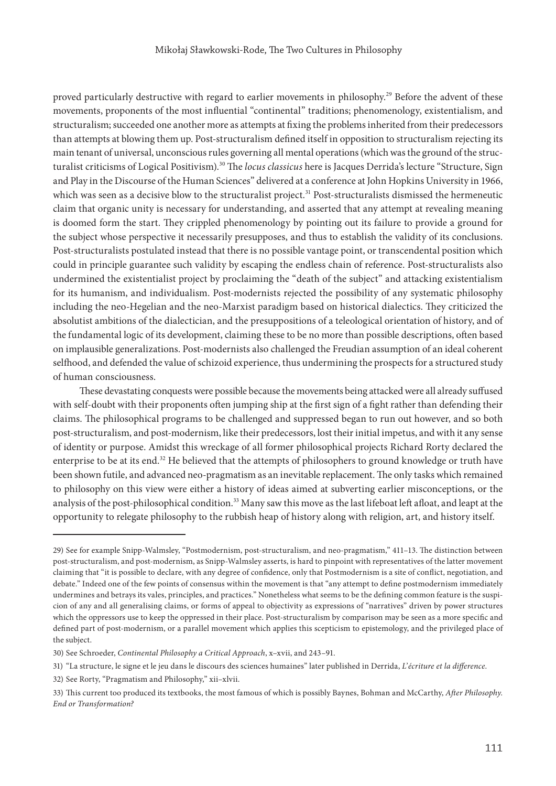proved particularly destructive with regard to earlier movements in philosophy.<sup>29</sup> Before the advent of these movements, proponents of the most influential "continental" traditions; phenomenology, existentialism, and structuralism; succeeded one another more as attempts at fixing the problems inherited from their predecessors than attempts at blowing them up. Post-structuralism defined itself in opposition to structuralism rejecting its main tenant of universal, unconscious rules governing all mental operations (which was the ground of the structuralist criticisms of Logical Positivism).30 The *locus classicus* here is Jacques Derrida's lecture "Structure, Sign and Play in the Discourse of the Human Sciences" delivered at a conference at John Hopkins University in 1966, which was seen as a decisive blow to the structuralist project.<sup>31</sup> Post-structuralists dismissed the hermeneutic claim that organic unity is necessary for understanding, and asserted that any attempt at revealing meaning is doomed form the start. They crippled phenomenology by pointing out its failure to provide a ground for the subject whose perspective it necessarily presupposes, and thus to establish the validity of its conclusions. Post-structuralists postulated instead that there is no possible vantage point, or transcendental position which could in principle guarantee such validity by escaping the endless chain of reference. Post-structuralists also undermined the existentialist project by proclaiming the "death of the subject" and attacking existentialism for its humanism, and individualism. Post-modernists rejected the possibility of any systematic philosophy including the neo-Hegelian and the neo-Marxist paradigm based on historical dialectics. They criticized the absolutist ambitions of the dialectician, and the presuppositions of a teleological orientation of history, and of the fundamental logic of its development, claiming these to be no more than possible descriptions, often based on implausible generalizations. Post-modernists also challenged the Freudian assumption of an ideal coherent selfhood, and defended the value of schizoid experience, thus undermining the prospects for a structured study of human consciousness.

These devastating conquests were possible because the movements being attacked were all already suffused with self-doubt with their proponents often jumping ship at the first sign of a fight rather than defending their claims. The philosophical programs to be challenged and suppressed began to run out however, and so both post-structuralism, and post-modernism, like their predecessors, lost their initial impetus, and with it any sense of identity or purpose. Amidst this wreckage of all former philosophical projects Richard Rorty declared the enterprise to be at its end.<sup>32</sup> He believed that the attempts of philosophers to ground knowledge or truth have been shown futile, and advanced neo-pragmatism as an inevitable replacement. The only tasks which remained to philosophy on this view were either a history of ideas aimed at subverting earlier misconceptions, or the analysis of the post-philosophical condition.<sup>33</sup> Many saw this move as the last lifeboat left afloat, and leapt at the opportunity to relegate philosophy to the rubbish heap of history along with religion, art, and history itself.

<sup>29)</sup> See for example Snipp-Walmsley, "Postmodernism, post-structuralism, and neo-pragmatism," 411–13. The distinction between post-structuralism, and post-modernism, as Snipp-Walmsley asserts, is hard to pinpoint with representatives of the latter movement claiming that "it is possible to declare, with any degree of confidence, only that Postmodernism is a site of conflict, negotiation, and debate." Indeed one of the few points of consensus within the movement is that "any attempt to define postmodernism immediately undermines and betrays its vales, principles, and practices." Nonetheless what seems to be the defining common feature is the suspicion of any and all generalising claims, or forms of appeal to objectivity as expressions of "narratives" driven by power structures which the oppressors use to keep the oppressed in their place. Post-structuralism by comparison may be seen as a more specific and defined part of post-modernism, or a parallel movement which applies this scepticism to epistemology, and the privileged place of the subject.

<sup>30)</sup> See Schroeder, *Continental Philosophy a Critical Approach*, x–xvii, and 243–91.

<sup>31)</sup> "La structure, le signe et le jeu dans le discours des sciences humaines" later published in Derrida, *L'écriture et la difference*.

<sup>32)</sup> See Rorty, "Pragmatism and Philosophy," xii–xlvii.

<sup>33)</sup> This current too produced its textbooks, the most famous of which is possibly Baynes, Bohman and McCarthy, *After Philosophy. End or Transformation?*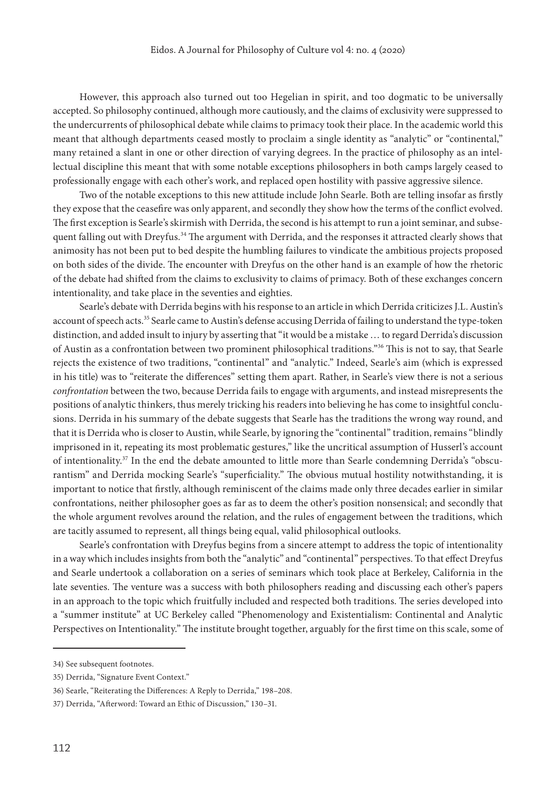However, this approach also turned out too Hegelian in spirit, and too dogmatic to be universally accepted. So philosophy continued, although more cautiously, and the claims of exclusivity were suppressed to the undercurrents of philosophical debate while claims to primacy took their place. In the academic world this meant that although departments ceased mostly to proclaim a single identity as "analytic" or "continental," many retained a slant in one or other direction of varying degrees. In the practice of philosophy as an intellectual discipline this meant that with some notable exceptions philosophers in both camps largely ceased to professionally engage with each other's work, and replaced open hostility with passive aggressive silence.

Two of the notable exceptions to this new attitude include John Searle. Both are telling insofar as firstly they expose that the ceasefire was only apparent, and secondly they show how the terms of the conflict evolved. The first exception is Searle's skirmish with Derrida, the second is his attempt to run a joint seminar, and subsequent falling out with Dreyfus.<sup>34</sup> The argument with Derrida, and the responses it attracted clearly shows that animosity has not been put to bed despite the humbling failures to vindicate the ambitious projects proposed on both sides of the divide. The encounter with Dreyfus on the other hand is an example of how the rhetoric of the debate had shifted from the claims to exclusivity to claims of primacy. Both of these exchanges concern intentionality, and take place in the seventies and eighties.

Searle's debate with Derrida begins with his response to an article in which Derrida criticizes J.L. Austin's account of speech acts.<sup>35</sup> Searle came to Austin's defense accusing Derrida of failing to understand the type-token distinction, and added insult to injury by asserting that "it would be a mistake … to regard Derrida's discussion of Austin as a confrontation between two prominent philosophical traditions."36 This is not to say, that Searle rejects the existence of two traditions, "continental" and "analytic." Indeed, Searle's aim (which is expressed in his title) was to "reiterate the differences" setting them apart. Rather, in Searle's view there is not a serious *confrontation* between the two, because Derrida fails to engage with arguments, and instead misrepresents the positions of analytic thinkers, thus merely tricking his readers into believing he has come to insightful conclusions. Derrida in his summary of the debate suggests that Searle has the traditions the wrong way round, and that it is Derrida who is closer to Austin, while Searle, by ignoring the "continental" tradition, remains "blindly imprisoned in it, repeating its most problematic gestures," like the uncritical assumption of Husserl's account of intentionality.<sup>37</sup> In the end the debate amounted to little more than Searle condemning Derrida's "obscurantism" and Derrida mocking Searle's "superficiality." The obvious mutual hostility notwithstanding, it is important to notice that firstly, although reminiscent of the claims made only three decades earlier in similar confrontations, neither philosopher goes as far as to deem the other's position nonsensical; and secondly that the whole argument revolves around the relation, and the rules of engagement between the traditions, which are tacitly assumed to represent, all things being equal, valid philosophical outlooks.

Searle's confrontation with Dreyfus begins from a sincere attempt to address the topic of intentionality in a way which includes insights from both the "analytic" and "continental" perspectives. To that effect Dreyfus and Searle undertook a collaboration on a series of seminars which took place at Berkeley, California in the late seventies. The venture was a success with both philosophers reading and discussing each other's papers in an approach to the topic which fruitfully included and respected both traditions. The series developed into a "summer institute" at UC Berkeley called "Phenomenology and Existentialism: Continental and Analytic Perspectives on Intentionality." The institute brought together, arguably for the first time on this scale, some of

<sup>34)</sup> See subsequent footnotes.

<sup>35)</sup> Derrida, "Signature Event Context."

<sup>36)</sup> Searle, "Reiterating the Differences: A Reply to Derrida," 198–208.

<sup>37)</sup> Derrida, "Afterword: Toward an Ethic of Discussion," 130–31.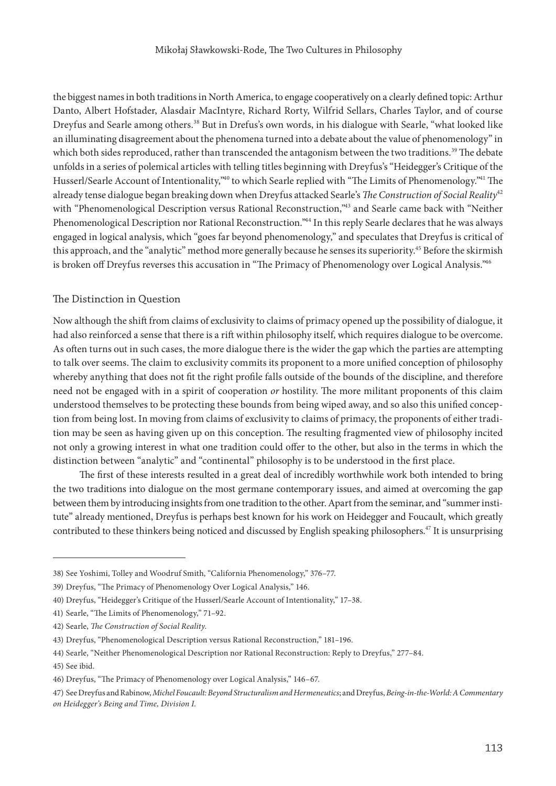the biggest names in both traditions in North America, to engage cooperatively on a clearly defined topic: Arthur Danto, Albert Hofstader, Alasdair MacIntyre, Richard Rorty, Wilfrid Sellars, Charles Taylor, and of course Dreyfus and Searle among others.<sup>38</sup> But in Drefus's own words, in his dialogue with Searle, "what looked like an illuminating disagreement about the phenomena turned into a debate about the value of phenomenology" in which both sides reproduced, rather than transcended the antagonism between the two traditions.<sup>39</sup> The debate unfolds in a series of polemical articles with telling titles beginning with Dreyfus's "Heidegger's Critique of the Husserl/Searle Account of Intentionality,<sup>240</sup> to which Searle replied with "The Limits of Phenomenology.<sup>241</sup> The already tense dialogue began breaking down when Dreyfus attacked Searle's *The Construction of Social Reality*<sup>42</sup> with "Phenomenological Description versus Rational Reconstruction,"<sup>43</sup> and Searle came back with "Neither Phenomenological Description nor Rational Reconstruction."44 In this reply Searle declares that he was always engaged in logical analysis, which "goes far beyond phenomenology," and speculates that Dreyfus is critical of this approach, and the "analytic" method more generally because he senses its superiority.<sup>45</sup> Before the skirmish is broken off Dreyfus reverses this accusation in "The Primacy of Phenomenology over Logical Analysis."<sup>46</sup>

## The Distinction in Question

Now although the shift from claims of exclusivity to claims of primacy opened up the possibility of dialogue, it had also reinforced a sense that there is a rift within philosophy itself, which requires dialogue to be overcome. As often turns out in such cases, the more dialogue there is the wider the gap which the parties are attempting to talk over seems. The claim to exclusivity commits its proponent to a more unified conception of philosophy whereby anything that does not fit the right profile falls outside of the bounds of the discipline, and therefore need not be engaged with in a spirit of cooperation *or* hostility. The more militant proponents of this claim understood themselves to be protecting these bounds from being wiped away, and so also this unified conception from being lost. In moving from claims of exclusivity to claims of primacy, the proponents of either tradition may be seen as having given up on this conception. The resulting fragmented view of philosophy incited not only a growing interest in what one tradition could offer to the other, but also in the terms in which the distinction between "analytic" and "continental" philosophy is to be understood in the first place.

The first of these interests resulted in a great deal of incredibly worthwhile work both intended to bring the two traditions into dialogue on the most germane contemporary issues, and aimed at overcoming the gap between them by introducing insights from one tradition to the other. Apart from the seminar, and "summer institute" already mentioned, Dreyfus is perhaps best known for his work on Heidegger and Foucault, which greatly contributed to these thinkers being noticed and discussed by English speaking philosophers.<sup>47</sup> It is unsurprising

<sup>38)</sup> See Yoshimi, Tolley and Woodruf Smith, "California Phenomenology," 376–77.

<sup>39)</sup> Dreyfus, "The Primacy of Phenomenology Over Logical Analysis," 146.

<sup>40)</sup> Dreyfus, "Heidegger's Critique of the Husserl/Searle Account of Intentionality," 17–38.

<sup>41)</sup> Searle, "The Limits of Phenomenology," 71–92.

<sup>42)</sup> Searle, *The Construction of Social Reality*.

<sup>43)</sup> Dreyfus, "Phenomenological Description versus Rational Reconstruction," 181–196.

<sup>44)</sup> Searle, "Neither Phenomenological Description nor Rational Reconstruction: Reply to Dreyfus," 277–84.

<sup>45)</sup> See ibid.

<sup>46)</sup> Dreyfus, "The Primacy of Phenomenology over Logical Analysis," 146–67.

<sup>47)</sup> See Dreyfus and Rabinow, *Michel Foucault: Beyond Structuralism and Hermeneutics*; and Dreyfus, *Being-in-the-World: A Commentary on Heidegger's Being and Time, Division I*.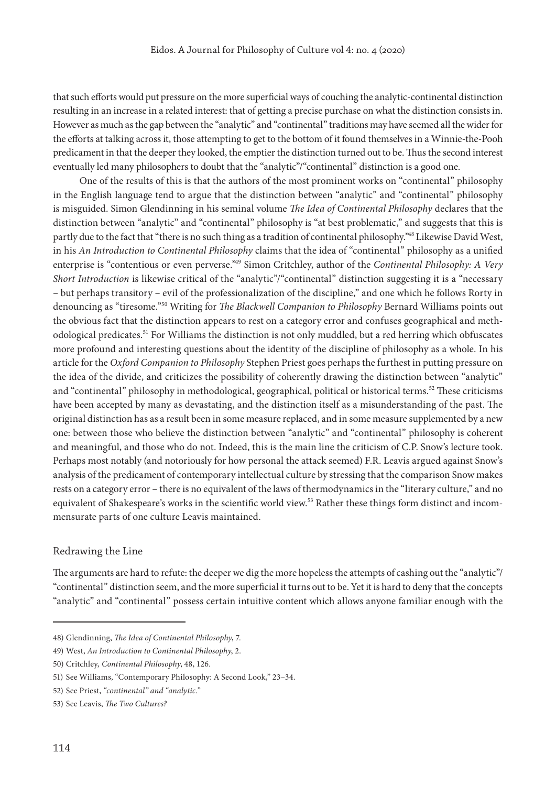that such efforts would put pressure on the more superficial ways of couching the analytic-continental distinction resulting in an increase in a related interest: that of getting a precise purchase on what the distinction consists in. However as much as the gap between the "analytic" and "continental" traditions may have seemed all the wider for the efforts at talking across it, those attempting to get to the bottom of it found themselves in a Winnie-the-Pooh predicament in that the deeper they looked, the emptier the distinction turned out to be. Thus the second interest eventually led many philosophers to doubt that the "analytic"/"continental" distinction is a good one.

One of the results of this is that the authors of the most prominent works on "continental" philosophy in the English language tend to argue that the distinction between "analytic" and "continental" philosophy is misguided. Simon Glendinning in his seminal volume *The Idea of Continental Philosophy* declares that the distinction between "analytic" and "continental" philosophy is "at best problematic," and suggests that this is partly due to the fact that "there is no such thing as a tradition of continental philosophy."48 Likewise David West, in his *An Introduction to Continental Philosophy* claims that the idea of "continental" philosophy as a unified enterprise is "contentious or even perverse."49 Simon Critchley, author of the *Continental Philosophy: A Very Short Introduction* is likewise critical of the "analytic"/"continental" distinction suggesting it is a "necessary – but perhaps transitory – evil of the professionalization of the discipline," and one which he follows Rorty in denouncing as "tiresome."50 Writing for *The Blackwell Companion to Philosophy* Bernard Williams points out the obvious fact that the distinction appears to rest on a category error and confuses geographical and methodological predicates.51 For Williams the distinction is not only muddled, but a red herring which obfuscates more profound and interesting questions about the identity of the discipline of philosophy as a whole. In his article for the *Oxford Companion to Philosophy* Stephen Priest goes perhaps the furthest in putting pressure on the idea of the divide, and criticizes the possibility of coherently drawing the distinction between "analytic" and "continental" philosophy in methodological, geographical, political or historical terms.<sup>52</sup> These criticisms have been accepted by many as devastating, and the distinction itself as a misunderstanding of the past. The original distinction has as a result been in some measure replaced, and in some measure supplemented by a new one: between those who believe the distinction between "analytic" and "continental" philosophy is coherent and meaningful, and those who do not. Indeed, this is the main line the criticism of C.P. Snow's lecture took. Perhaps most notably (and notoriously for how personal the attack seemed) F.R. Leavis argued against Snow's analysis of the predicament of contemporary intellectual culture by stressing that the comparison Snow makes rests on a category error – there is no equivalent of the laws of thermodynamics in the "literary culture," and no equivalent of Shakespeare's works in the scientific world view.<sup>53</sup> Rather these things form distinct and incommensurate parts of one culture Leavis maintained.

#### Redrawing the Line

The arguments are hard to refute: the deeper we dig the more hopeless the attempts of cashing out the "analytic"/ "continental" distinction seem, and the more superficial it turns out to be. Yet it is hard to deny that the concepts "analytic" and "continental" possess certain intuitive content which allows anyone familiar enough with the

<sup>48)</sup> Glendinning, *The Idea of Continental Philosophy*, 7.

<sup>49)</sup> West, *An Introduction to Continental Philosophy*, 2.

<sup>50)</sup> Critchley, *Continental Philosophy*, 48, 126.

<sup>51)</sup> See Williams, "Contemporary Philosophy: A Second Look," 23–34.

<sup>52)</sup> See Priest, *"continental" and "analytic*.*"*

<sup>53)</sup> See Leavis, *The Two Cultures?*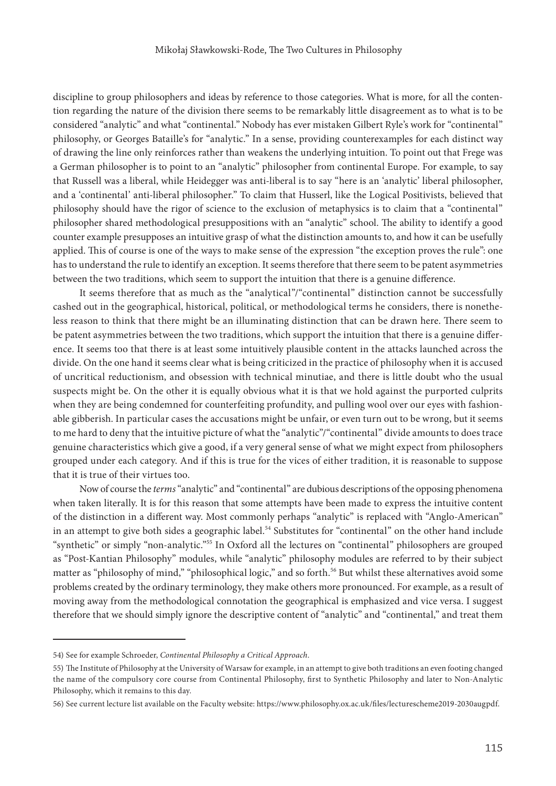discipline to group philosophers and ideas by reference to those categories. What is more, for all the contention regarding the nature of the division there seems to be remarkably little disagreement as to what is to be considered "analytic" and what "continental." Nobody has ever mistaken Gilbert Ryle's work for "continental" philosophy, or Georges Bataille's for "analytic." In a sense, providing counterexamples for each distinct way of drawing the line only reinforces rather than weakens the underlying intuition. To point out that Frege was a German philosopher is to point to an "analytic" philosopher from continental Europe. For example, to say that Russell was a liberal, while Heidegger was anti-liberal is to say "here is an 'analytic' liberal philosopher, and a 'continental' anti-liberal philosopher." To claim that Husserl, like the Logical Positivists, believed that philosophy should have the rigor of science to the exclusion of metaphysics is to claim that a "continental" philosopher shared methodological presuppositions with an "analytic" school. The ability to identify a good counter example presupposes an intuitive grasp of what the distinction amounts to, and how it can be usefully applied. This of course is one of the ways to make sense of the expression "the exception proves the rule": one has to understand the rule to identify an exception. It seems therefore that there seem to be patent asymmetries between the two traditions, which seem to support the intuition that there is a genuine difference.

It seems therefore that as much as the "analytical"/"continental" distinction cannot be successfully cashed out in the geographical, historical, political, or methodological terms he considers, there is nonetheless reason to think that there might be an illuminating distinction that can be drawn here. There seem to be patent asymmetries between the two traditions, which support the intuition that there is a genuine difference. It seems too that there is at least some intuitively plausible content in the attacks launched across the divide. On the one hand it seems clear what is being criticized in the practice of philosophy when it is accused of uncritical reductionism, and obsession with technical minutiae, and there is little doubt who the usual suspects might be. On the other it is equally obvious what it is that we hold against the purported culprits when they are being condemned for counterfeiting profundity, and pulling wool over our eyes with fashionable gibberish. In particular cases the accusations might be unfair, or even turn out to be wrong, but it seems to me hard to deny that the intuitive picture of what the "analytic"/"continental" divide amounts to does trace genuine characteristics which give a good, if a very general sense of what we might expect from philosophers grouped under each category. And if this is true for the vices of either tradition, it is reasonable to suppose that it is true of their virtues too.

Now of course the *terms* "analytic" and "continental" are dubious descriptions of the opposing phenomena when taken literally. It is for this reason that some attempts have been made to express the intuitive content of the distinction in a different way. Most commonly perhaps "analytic" is replaced with "Anglo-American" in an attempt to give both sides a geographic label.<sup>54</sup> Substitutes for "continental" on the other hand include "synthetic" or simply "non-analytic."55 In Oxford all the lectures on "continental" philosophers are grouped as "Post-Kantian Philosophy" modules, while "analytic" philosophy modules are referred to by their subject matter as "philosophy of mind," "philosophical logic," and so forth.<sup>56</sup> But whilst these alternatives avoid some problems created by the ordinary terminology, they make others more pronounced. For example, as a result of moving away from the methodological connotation the geographical is emphasized and vice versa. I suggest therefore that we should simply ignore the descriptive content of "analytic" and "continental," and treat them

<sup>54)</sup> See for example Schroeder, *Continental Philosophy a Critical Approach*.

<sup>55)</sup> The Institute of Philosophy at the University of Warsaw for example, in an attempt to give both traditions an even footing changed the name of the compulsory core course from Continental Philosophy, first to Synthetic Philosophy and later to Non-Analytic Philosophy, which it remains to this day.

<sup>56)</sup> See current lecture list available on the Faculty website: <https://www.philosophy.ox.ac.uk/files/lecturescheme2019-2030augpdf>.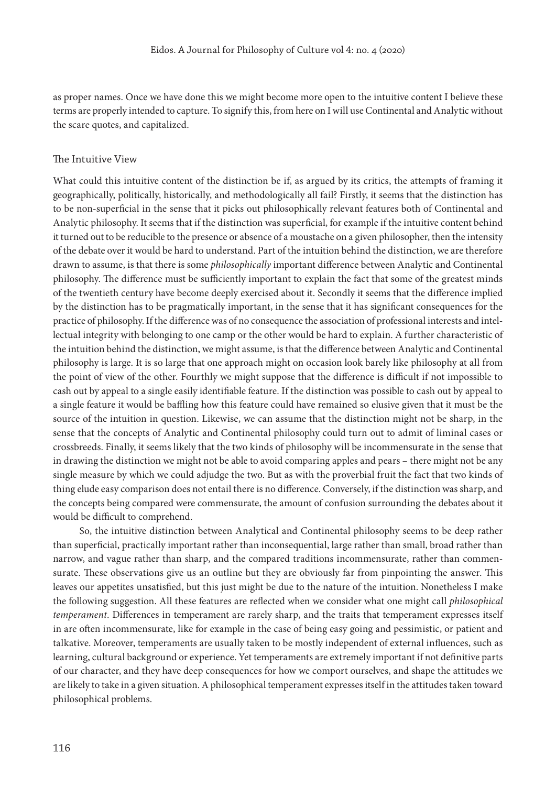as proper names. Once we have done this we might become more open to the intuitive content I believe these terms are properly intended to capture. To signify this, from here on I will use Continental and Analytic without the scare quotes, and capitalized.

## The Intuitive View

What could this intuitive content of the distinction be if, as argued by its critics, the attempts of framing it geographically, politically, historically, and methodologically all fail? Firstly, it seems that the distinction has to be non-superficial in the sense that it picks out philosophically relevant features both of Continental and Analytic philosophy. It seems that if the distinction was superficial, for example if the intuitive content behind it turned out to be reducible to the presence or absence of a moustache on a given philosopher, then the intensity of the debate over it would be hard to understand. Part of the intuition behind the distinction, we are therefore drawn to assume, is that there is some *philosophically* important difference between Analytic and Continental philosophy. The difference must be sufficiently important to explain the fact that some of the greatest minds of the twentieth century have become deeply exercised about it. Secondly it seems that the difference implied by the distinction has to be pragmatically important, in the sense that it has significant consequences for the practice of philosophy. If the difference was of no consequence the association of professional interests and intellectual integrity with belonging to one camp or the other would be hard to explain. A further characteristic of the intuition behind the distinction, we might assume, is that the difference between Analytic and Continental philosophy is large. It is so large that one approach might on occasion look barely like philosophy at all from the point of view of the other. Fourthly we might suppose that the difference is difficult if not impossible to cash out by appeal to a single easily identifiable feature. If the distinction was possible to cash out by appeal to a single feature it would be baffling how this feature could have remained so elusive given that it must be the source of the intuition in question. Likewise, we can assume that the distinction might not be sharp, in the sense that the concepts of Analytic and Continental philosophy could turn out to admit of liminal cases or crossbreeds. Finally, it seems likely that the two kinds of philosophy will be incommensurate in the sense that in drawing the distinction we might not be able to avoid comparing apples and pears – there might not be any single measure by which we could adjudge the two. But as with the proverbial fruit the fact that two kinds of thing elude easy comparison does not entail there is no difference. Conversely, if the distinction was sharp, and the concepts being compared were commensurate, the amount of confusion surrounding the debates about it would be difficult to comprehend.

So, the intuitive distinction between Analytical and Continental philosophy seems to be deep rather than superficial, practically important rather than inconsequential, large rather than small, broad rather than narrow, and vague rather than sharp, and the compared traditions incommensurate, rather than commensurate. These observations give us an outline but they are obviously far from pinpointing the answer. This leaves our appetites unsatisfied, but this just might be due to the nature of the intuition. Nonetheless I make the following suggestion. All these features are reflected when we consider what one might call *philosophical temperament*. Differences in temperament are rarely sharp, and the traits that temperament expresses itself in are often incommensurate, like for example in the case of being easy going and pessimistic, or patient and talkative. Moreover, temperaments are usually taken to be mostly independent of external influences, such as learning, cultural background or experience. Yet temperaments are extremely important if not definitive parts of our character, and they have deep consequences for how we comport ourselves, and shape the attitudes we are likely to take in a given situation. A philosophical temperament expresses itself in the attitudes taken toward philosophical problems.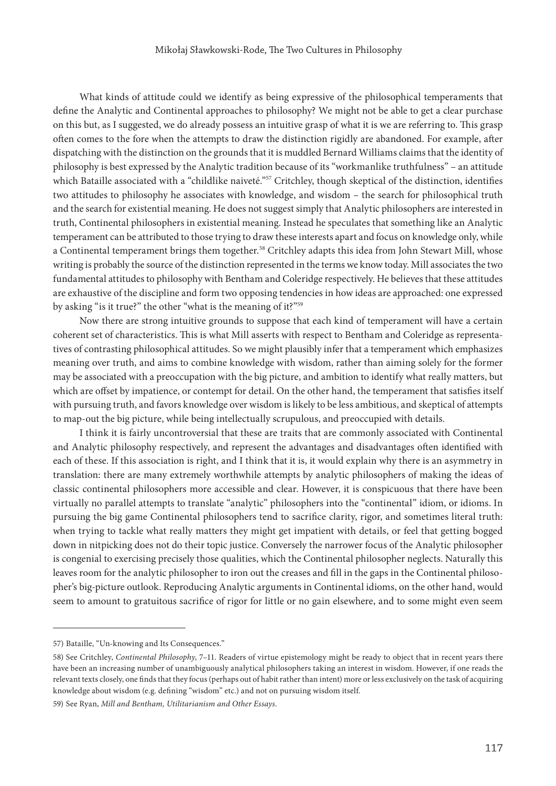What kinds of attitude could we identify as being expressive of the philosophical temperaments that define the Analytic and Continental approaches to philosophy? We might not be able to get a clear purchase on this but, as I suggested, we do already possess an intuitive grasp of what it is we are referring to. This grasp often comes to the fore when the attempts to draw the distinction rigidly are abandoned. For example, after dispatching with the distinction on the grounds that it is muddled Bernard Williams claims that the identity of philosophy is best expressed by the Analytic tradition because of its "workmanlike truthfulness" – an attitude which Bataille associated with a "childlike naiveté."<sup>57</sup> Critchley, though skeptical of the distinction, identifies two attitudes to philosophy he associates with knowledge, and wisdom – the search for philosophical truth and the search for existential meaning. He does not suggest simply that Analytic philosophers are interested in truth, Continental philosophers in existential meaning. Instead he speculates that something like an Analytic temperament can be attributed to those trying to draw these interests apart and focus on knowledge only, while a Continental temperament brings them together.<sup>58</sup> Critchley adapts this idea from John Stewart Mill, whose writing is probably the source of the distinction represented in the terms we know today. Mill associates the two fundamental attitudes to philosophy with Bentham and Coleridge respectively. He believes that these attitudes are exhaustive of the discipline and form two opposing tendencies in how ideas are approached: one expressed by asking "is it true?" the other "what is the meaning of it?"<sup>59</sup>

Now there are strong intuitive grounds to suppose that each kind of temperament will have a certain coherent set of characteristics. This is what Mill asserts with respect to Bentham and Coleridge as representatives of contrasting philosophical attitudes. So we might plausibly infer that a temperament which emphasizes meaning over truth, and aims to combine knowledge with wisdom, rather than aiming solely for the former may be associated with a preoccupation with the big picture, and ambition to identify what really matters, but which are offset by impatience, or contempt for detail. On the other hand, the temperament that satisfies itself with pursuing truth, and favors knowledge over wisdom is likely to be less ambitious, and skeptical of attempts to map-out the big picture, while being intellectually scrupulous, and preoccupied with details.

I think it is fairly uncontroversial that these are traits that are commonly associated with Continental and Analytic philosophy respectively, and represent the advantages and disadvantages often identified with each of these. If this association is right, and I think that it is, it would explain why there is an asymmetry in translation: there are many extremely worthwhile attempts by analytic philosophers of making the ideas of classic continental philosophers more accessible and clear. However, it is conspicuous that there have been virtually no parallel attempts to translate "analytic" philosophers into the "continental" idiom, or idioms. In pursuing the big game Continental philosophers tend to sacrifice clarity, rigor, and sometimes literal truth: when trying to tackle what really matters they might get impatient with details, or feel that getting bogged down in nitpicking does not do their topic justice. Conversely the narrower focus of the Analytic philosopher is congenial to exercising precisely those qualities, which the Continental philosopher neglects. Naturally this leaves room for the analytic philosopher to iron out the creases and fill in the gaps in the Continental philosopher's big-picture outlook. Reproducing Analytic arguments in Continental idioms, on the other hand, would seem to amount to gratuitous sacrifice of rigor for little or no gain elsewhere, and to some might even seem

<sup>57)</sup> Bataille, "Un-knowing and Its Consequences."

<sup>58)</sup> See Critchley, *Continental Philosophy*, 7–11. Readers of virtue epistemology might be ready to object that in recent years there have been an increasing number of unambiguously analytical philosophers taking an interest in wisdom. However, if one reads the relevant texts closely, one finds that they focus (perhaps out of habit rather than intent) more or less exclusively on the task of acquiring knowledge about wisdom (e.g. defining "wisdom" etc.) and not on pursuing wisdom itself.

<sup>59)</sup> See Ryan, *Mill and Bentham, Utilitarianism and Other Essays*.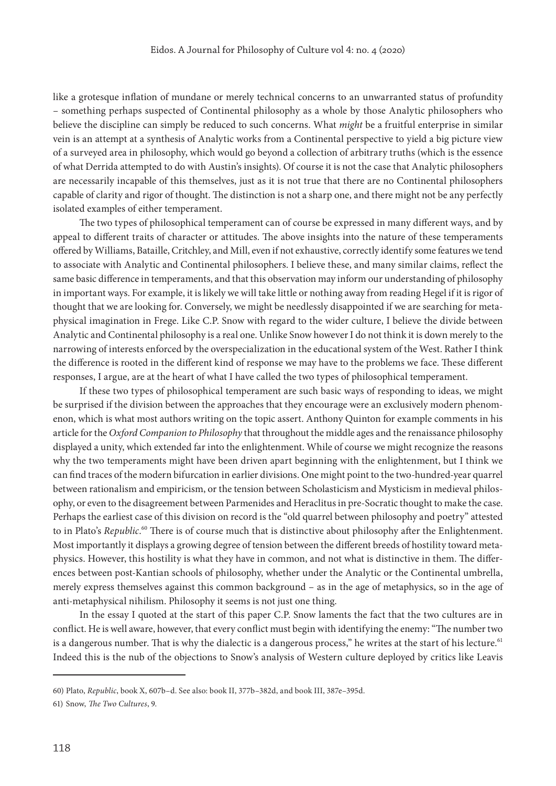like a grotesque inflation of mundane or merely technical concerns to an unwarranted status of profundity – something perhaps suspected of Continental philosophy as a whole by those Analytic philosophers who believe the discipline can simply be reduced to such concerns. What *might* be a fruitful enterprise in similar vein is an attempt at a synthesis of Analytic works from a Continental perspective to yield a big picture view of a surveyed area in philosophy, which would go beyond a collection of arbitrary truths (which is the essence of what Derrida attempted to do with Austin's insights). Of course it is not the case that Analytic philosophers are necessarily incapable of this themselves, just as it is not true that there are no Continental philosophers capable of clarity and rigor of thought. The distinction is not a sharp one, and there might not be any perfectly isolated examples of either temperament.

The two types of philosophical temperament can of course be expressed in many different ways, and by appeal to different traits of character or attitudes. The above insights into the nature of these temperaments offered by Williams, Bataille, Critchley, and Mill, even if not exhaustive, correctly identify some features we tend to associate with Analytic and Continental philosophers. I believe these, and many similar claims, reflect the same basic difference in temperaments, and that this observation may inform our understanding of philosophy in important ways. For example, it is likely we will take little or nothing away from reading Hegel if it is rigor of thought that we are looking for. Conversely, we might be needlessly disappointed if we are searching for metaphysical imagination in Frege. Like C.P. Snow with regard to the wider culture, I believe the divide between Analytic and Continental philosophy is a real one. Unlike Snow however I do not think it is down merely to the narrowing of interests enforced by the overspecialization in the educational system of the West. Rather I think the difference is rooted in the different kind of response we may have to the problems we face. These different responses, I argue, are at the heart of what I have called the two types of philosophical temperament.

If these two types of philosophical temperament are such basic ways of responding to ideas, we might be surprised if the division between the approaches that they encourage were an exclusively modern phenomenon, which is what most authors writing on the topic assert. Anthony Quinton for example comments in his article for the *Oxford Companion to Philosophy* that throughout the middle ages and the renaissance philosophy displayed a unity, which extended far into the enlightenment. While of course we might recognize the reasons why the two temperaments might have been driven apart beginning with the enlightenment, but I think we can find traces of the modern bifurcation in earlier divisions. One might point to the two-hundred-year quarrel between rationalism and empiricism, or the tension between Scholasticism and Mysticism in medieval philosophy, or even to the disagreement between Parmenides and Heraclitus in pre-Socratic thought to make the case. Perhaps the earliest case of this division on record is the "old quarrel between philosophy and poetry" attested to in Plato's *Republic*.<sup>60</sup> There is of course much that is distinctive about philosophy after the Enlightenment. Most importantly it displays a growing degree of tension between the different breeds of hostility toward metaphysics. However, this hostility is what they have in common, and not what is distinctive in them. The differences between post-Kantian schools of philosophy, whether under the Analytic or the Continental umbrella, merely express themselves against this common background – as in the age of metaphysics, so in the age of anti-metaphysical nihilism. Philosophy it seems is not just one thing.

In the essay I quoted at the start of this paper C.P. Snow laments the fact that the two cultures are in conflict. He is well aware, however, that every conflict must begin with identifying the enemy: "The number two is a dangerous number. That is why the dialectic is a dangerous process," he writes at the start of his lecture.<sup>61</sup> Indeed this is the nub of the objections to Snow's analysis of Western culture deployed by critics like Leavis

<sup>60)</sup> Plato, *Republic*, book X, 607b–d. See also: book II, 377b–382d, and book III, 387e–395d.

<sup>61)</sup> Snow, *The Two Cultures*, 9.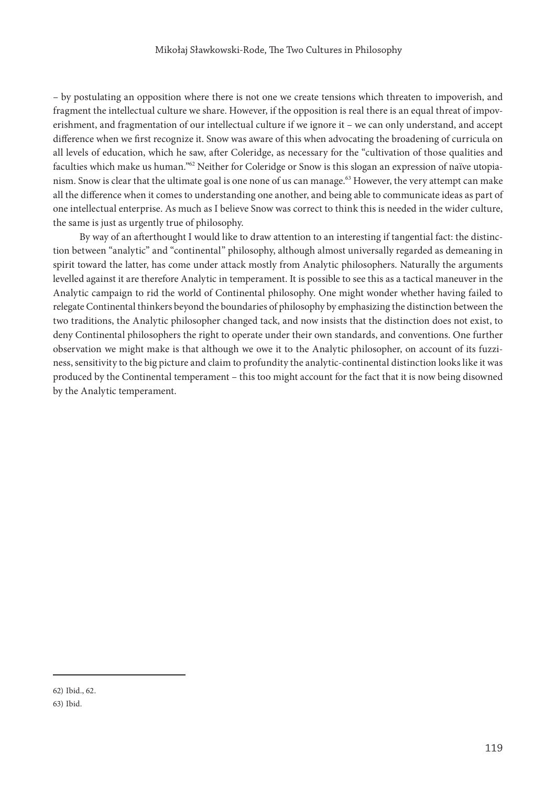– by postulating an opposition where there is not one we create tensions which threaten to impoverish, and fragment the intellectual culture we share. However, if the opposition is real there is an equal threat of impoverishment, and fragmentation of our intellectual culture if we ignore it – we can only understand, and accept difference when we first recognize it. Snow was aware of this when advocating the broadening of curricula on all levels of education, which he saw, after Coleridge, as necessary for the "cultivation of those qualities and faculties which make us human."<sup>62</sup> Neither for Coleridge or Snow is this slogan an expression of naïve utopianism. Snow is clear that the ultimate goal is one none of us can manage.<sup>63</sup> However, the very attempt can make all the difference when it comes to understanding one another, and being able to communicate ideas as part of one intellectual enterprise. As much as I believe Snow was correct to think this is needed in the wider culture, the same is just as urgently true of philosophy.

By way of an afterthought I would like to draw attention to an interesting if tangential fact: the distinction between "analytic" and "continental" philosophy, although almost universally regarded as demeaning in spirit toward the latter, has come under attack mostly from Analytic philosophers. Naturally the arguments levelled against it are therefore Analytic in temperament. It is possible to see this as a tactical maneuver in the Analytic campaign to rid the world of Continental philosophy. One might wonder whether having failed to relegate Continental thinkers beyond the boundaries of philosophy by emphasizing the distinction between the two traditions, the Analytic philosopher changed tack, and now insists that the distinction does not exist, to deny Continental philosophers the right to operate under their own standards, and conventions. One further observation we might make is that although we owe it to the Analytic philosopher, on account of its fuzziness, sensitivity to the big picture and claim to profundity the analytic-continental distinction looks like it was produced by the Continental temperament – this too might account for the fact that it is now being disowned by the Analytic temperament.

<sup>62)</sup> Ibid., 62.

<sup>63)</sup> Ibid.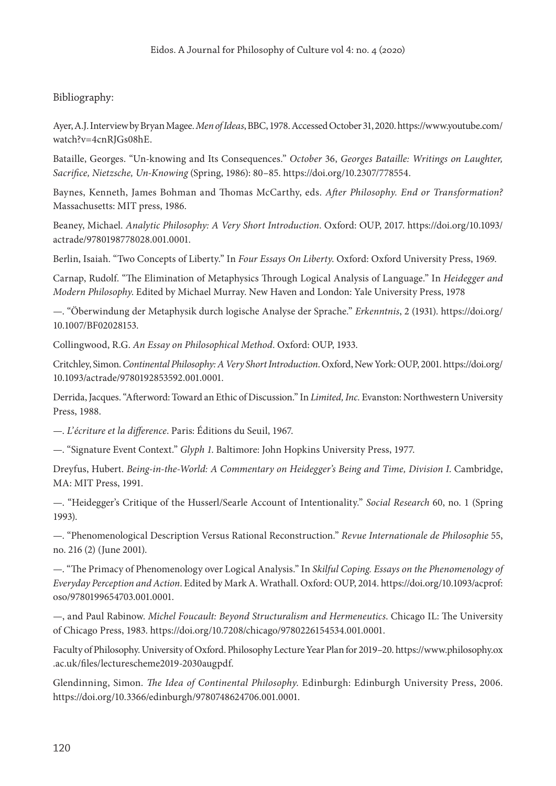# Bibliography:

Ayer, A.J. Interview by Bryan Magee. *Men of Ideas*, BBC, 1978. Accessed October 31, 2020. [https://www.youtube.com/](https://www.youtube.com/watch?v=4cnRJGs08hE) [watch?v=4cnRJGs08hE](https://www.youtube.com/watch?v=4cnRJGs08hE).

Bataille, Georges. "Un-knowing and Its Consequences." *October* 36, *Georges Bataille: Writings on Laughter, Sacrifice, Nietzsche, Un-Knowing* (Spring, 1986): 80–85. [https://doi.org/10.2307/778554.](https://doi.org/10.2307/778554)

Baynes, Kenneth, James Bohman and Thomas McCarthy, eds. *After Philosophy. End or Transformation?* Massachusetts: MIT press, 1986.

Beaney, Michael. *Analytic Philosophy: A Very Short Introduction*. Oxford: OUP, 2017. [https://doi.org/10.1093/](https://doi.org/10.1093/actrade/9780198778028.001.0001) [actrade/9780198778028.001.0001.](https://doi.org/10.1093/actrade/9780198778028.001.0001)

Berlin, Isaiah. "Two Concepts of Liberty." In *Four Essays On Liberty*. Oxford: Oxford University Press, 1969.

Carnap, Rudolf. "The Elimination of Metaphysics Through Logical Analysis of Language." In *Heidegger and Modern Philosophy*. Edited by Michael Murray. New Haven and London: Yale University Press, 1978

—. "Öberwindung der Metaphysik durch logische Analyse der Sprache." *Erkenntnis*, 2 (1931). [https://doi.org/](https://doi.org/10.1007/BF02028153) [10.1007/BF02028153](https://doi.org/10.1007/BF02028153).

Collingwood, R.G. *An Essay on Philosophical Method*. Oxford: OUP, 1933.

Critchley, Simon. *Continental Philosophy: A Very Short Introduction*. Oxford, New York: OUP, 2001. [https://doi.org/](https://doi.org/10.1093/actrade/9780192853592.001.0001) [10.1093/actrade/9780192853592.001.0001](https://doi.org/10.1093/actrade/9780192853592.001.0001).

Derrida, Jacques. "Afterword: Toward an Ethic of Discussion." In *Limited, Inc.* Evanston: Northwestern University Press, 1988.

—. *L'écriture et la difference*. Paris: Éditions du Seuil, 1967.

—. "Signature Event Context." *Glyph 1*. Baltimore: John Hopkins University Press, 1977.

Dreyfus, Hubert. *Being-in-the-World: A Commentary on Heidegger's Being and Time, Division I*. Cambridge, MA: MIT Press, 1991.

—. "Heidegger's Critique of the Husserl/Searle Account of Intentionality." *Social Research* 60, no. 1 (Spring 1993).

—. "Phenomenological Description Versus Rational Reconstruction." *Revue Internationale de Philosophie* 55, no. 216 (2) (June 2001).

—. "The Primacy of Phenomenology over Logical Analysis." In *Skilful Coping. Essays on the Phenomenology of Everyday Perception and Action*. Edited by Mark A. Wrathall. Oxford: OUP, 2014. [https://doi.org/10.1093/acprof:](https://doi.org/10.1093/acprof:oso/9780199654703.001.0001) [oso/9780199654703.001.0001.](https://doi.org/10.1093/acprof:oso/9780199654703.001.0001)

—, and Paul Rabinow. *Michel Foucault: Beyond Structuralism and Hermeneutics*. Chicago IL: The University of Chicago Press, 1983. <https://doi.org/10.7208/chicago/9780226154534.001.0001>.

Faculty of Philosophy. University of Oxford. Philosophy Lecture Year Plan for 2019–20. [https://www.philosophy.ox](https://www.philosophy.ox.ac.uk/files/lecturescheme2019-2030augpdf) [.ac.uk/files/lecturescheme2019-2030augpdf.](https://www.philosophy.ox.ac.uk/files/lecturescheme2019-2030augpdf)

Glendinning, Simon. *The Idea of Continental Philosophy*. Edinburgh: Edinburgh University Press, 2006. [https://doi.org/10.3366/edinburgh/9780748624706.001.0001.](https://doi.org/10.3366/edinburgh/9780748624706.001.0001)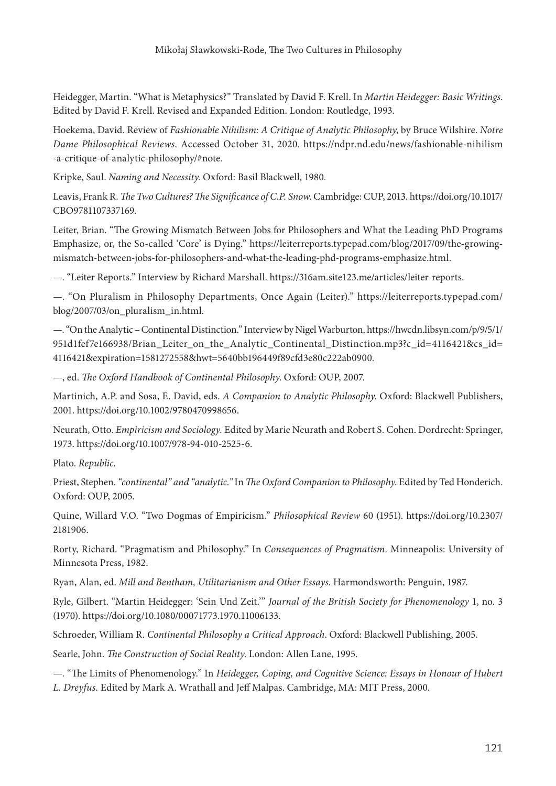Heidegger, Martin. "What is Metaphysics?" Translated by David F. Krell. In *Martin Heidegger: Basic Writings*. Edited by David F. Krell. Revised and Expanded Edition. London: Routledge, 1993.

Hoekema, David. Review of *Fashionable Nihilism: A Critique of Analytic Philosophy*, by Bruce Wilshire. *Notre Dame Philosophical Reviews*. Accessed October 31, 2020. [https://ndpr.nd.edu/news/fashionable-nihilism](https://ndpr.nd.edu/news/fashionable-nihilism-a-critique-of-analytic-philosophy/#note) [-a-critique-of-analytic-philosophy/#note](https://ndpr.nd.edu/news/fashionable-nihilism-a-critique-of-analytic-philosophy/#note).

Kripke, Saul. *Naming and Necessity*. Oxford: Basil Blackwell, 1980.

Leavis, Frank R. *The Two Cultures? The Significance of C.P. Snow*. Cambridge: CUP, 2013. [https://doi.org/10.1017/](https://doi.org/10.1017/CBO9781107337169) [CBO9781107337169.](https://doi.org/10.1017/CBO9781107337169)

Leiter, Brian. "The Growing Mismatch Between Jobs for Philosophers and What the Leading PhD Programs Emphasize, or, the So-called 'Core' is Dying." [https://leiterreports.typepad.com/blog/2017/09/the-growing](https://leiterreports.typepad.com/blog/2017/09/the-growing-mismatch-between-jobs-for-philosophers-and-what-the-leading-phd-programs-emphasize.html)[mismatch-between-jobs-for-philosophers-and-what-the-leading-phd-programs-emphasize.html.](https://leiterreports.typepad.com/blog/2017/09/the-growing-mismatch-between-jobs-for-philosophers-and-what-the-leading-phd-programs-emphasize.html)

—. "Leiter Reports." Interview by Richard Marshall. [https://316am.site123.me/articles/leiter-reports.](https://316am.site123.me/articles/leiter-reports)

—. "On Pluralism in Philosophy Departments, Once Again (Leiter)." [https://leiterreports.typepad.com/](https://leiterreports.typepad.com/blog/2007/03/on_pluralism_in.html) [blog/2007/03/on\\_pluralism\\_in.html](https://leiterreports.typepad.com/blog/2007/03/on_pluralism_in.html).

—. "On the Analytic – Continental Distinction." Interview by Nigel Warburton. [https://hwcdn.libsyn.com/p/9/5/1/](https://hwcdn.libsyn.com/p/9/5/1/951d1fef7e166938/Brian_Leiter_on_the_Analytic_Continental_Distinction.mp3?c_id=4116421&cs_id=4116421&expiration=1581272558&hwt=5640bb196449f89cfd3e80c222ab0900) [951d1fef7e166938/Brian\\_Leiter\\_on\\_the\\_Analytic\\_Continental\\_Distinction.mp3?c\\_id=4116421&cs\\_id=](https://hwcdn.libsyn.com/p/9/5/1/951d1fef7e166938/Brian_Leiter_on_the_Analytic_Continental_Distinction.mp3?c_id=4116421&cs_id=4116421&expiration=1581272558&hwt=5640bb196449f89cfd3e80c222ab0900) [4116421&expiration=1581272558&hwt=5640bb196449f89cfd3e80c222ab0900](https://hwcdn.libsyn.com/p/9/5/1/951d1fef7e166938/Brian_Leiter_on_the_Analytic_Continental_Distinction.mp3?c_id=4116421&cs_id=4116421&expiration=1581272558&hwt=5640bb196449f89cfd3e80c222ab0900).

—, ed. *The Oxford Handbook of Continental Philosophy*. Oxford: OUP, 2007.

Martinich, A.P. and Sosa, E. David, eds. *A Companion to Analytic Philosophy*. Oxford: Blackwell Publishers, 2001. [https://doi.org/10.1002/9780470998656.](https://doi.org/10.1002/9780470998656)

Neurath, Otto. *Empiricism and Sociology.* Edited by Marie Neurath and Robert S. Cohen. Dordrecht: Springer, 1973. [https://doi.org/10.1007/978-94-010-2525-6.](https://doi.org/10.1007/978-94-010-2525-6)

Plato. *Republic*.

Priest, Stephen. *"continental" and "analytic."* In *The Oxford Companion to Philosophy*. Edited by Ted Honderich. Oxford: OUP, 2005.

Quine, Willard V.O. "Two Dogmas of Empiricism." *Philosophical Review* 60 (1951). [https://doi.org/10.2307/](https://doi.org/10.2307/2181906) [2181906](https://doi.org/10.2307/2181906).

Rorty, Richard. "Pragmatism and Philosophy." In *Consequences of Pragmatism*. Minneapolis: University of Minnesota Press, 1982.

Ryan, Alan, ed. *Mill and Bentham, Utilitarianism and Other Essays*. Harmondsworth: Penguin, 1987.

Ryle, Gilbert. "Martin Heidegger: 'Sein Und Zeit.'" *Journal of the British Society for Phenomenology* 1, no. 3 (1970). <https://doi.org/10.1080/00071773.1970.11006133>.

Schroeder, William R. *Continental Philosophy a Critical Approach*. Oxford: Blackwell Publishing, 2005.

Searle, John. *The Construction of Social Reality*. London: Allen Lane, 1995.

—. "The Limits of Phenomenology." In *Heidegger, Coping, and Cognitive Science: Essays in Honour of Hubert L. Dreyfus.* Edited by Mark A. Wrathall and Jeff Malpas. Cambridge, MA: MIT Press, 2000.